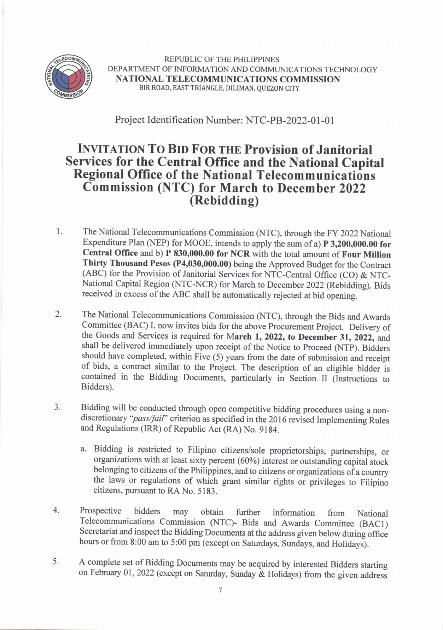

REPUBLIC OF THE PHILIPPINES DEPARTMENT OF INFORMATION AND COMMUNICATIONS TECHNOLOGY NATIONAL TELECOMMUNICATIONS COMMISSION BIR ROAD, EAST TRIANGLE, DILIMAN, QUEZON CITY

Project Identification Number: NTC-PB-2022-01-01

## **INVITATION TO BID FOR THE Provision of Janitorial** Services for the Central Office and the National Capital Regional office of the National Telecommunications Commission (NTC) for March to December 2022 (Rebidding)

- l. The National Telecommunications Commission (NTC), through the FY 2022 National Expenditure Plan (NEP) for MOOE, intends to apply the sum of a)  $P$  3,200,000.00 for Central Office and b) P 830,000.00 for NCR with the total amount of Four Million Thirty Thousand Pesos (P4,030,000.00) being the Approved Budget for the Conrract (ABC) for the Provision of Janitorial Services for NTC-Central Office (CO) & NTC-National Capital Region (NTC-NCR) for March to December 2022 (Rebidding). Bids received in excess of the ABC shall be automatically rejected at bid opening.
- The National Telecommunications Commission (NTC), through the Bids and Awards Committee (BAC) I, now invites bids for the above Procurement Project. Delivery of the Goods and Services is required for March 1, 2022, to December 31, 2022, and shall be delivered immediately upon receipt of the Notice to Proceed (NTP). Bidders should have completed, within Five (5) years from the date of submission and receipt of bids, a contract similar to the Project. The description of an eligible bidder is contained in the Bidding Documents, particularly in Section II (Instructions to Bidders). 2.
- Bidding will be conducted through open competitive bidding procedwes using a nondiscretionary "pass/fail" criterion as specified in the 2016 revised Implementing Rules and Regulations (IRR) of Republic Act (RA) No. 9184. 3.
	- a- Bidding is restricted to Filipino citizens/sole proprietorships, partnerships, or organizations with at least sixty percent (60%) interest or outstanding capitaf stock belonging to citizens of the Philippines, and to citizens or organizations of a country the laws or regulations of which grant similar rights or privileges to Filipino citizens, pursuant to RA No. 5183.
- Prospective bidders may obtain further information from National Telecommunications Commission (NTC)- Bids and Awards Committee (BACI) Secretariat and inspect the Bidding Documents at the address given below during office hours or from 8:00 am to 5:00 pm (except on Saturdays, Sundays, and Holidays). 4.
- A complete set of Bidding Documents may be acquired by interested Bidders starting on February 01,2022 (except on Saturday, Sunday & Holidays) from the given address 5.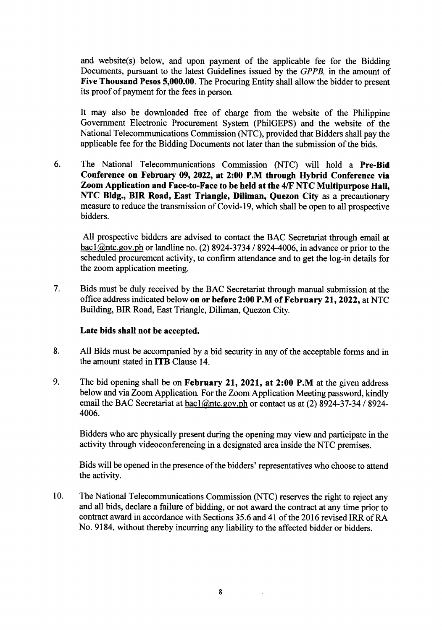and website(s) below, and upon payment of the applicable fee for the Bidding Documents, pursuant to the latest Guidelines issued by the GPPB, in the amount of Five Thousand Pesos 5,000.00. The Procuring Entity shall allow the bidder to present its proof of payment for the fees in person

It may also be downloaded free of charge from the website of the Philippine Government Electronic Procurement System (PhilGEPS) and the website of the National Telecommunications Commission (NTC), provided that Bidders shall pay the applicable fee for the Bidding Documents not later than the submission of the bids.

6. The National Telecommunications Commission (NTC) will hold a Pre-Bid Conference on February 09, 2022, at 2:00 P.M through Hybrid Conference via Zoom Application and Face-to-Face to be held at the 4/F NTC Multipurpose Hall, NTC Bldg., BIR Road, East Triangle, Diliman, Quezon City as a precautionary measure to reduce the transmission of Covid-19, which shall be open to all prospective bidders.

All prospective bidders are advised to contact the BAC Secretariat through email at  $\frac{\text{bac1}(\partial \text{ntc.gov}, \text{ph}}{\text{or landline no}}$ . (2) 8924-3734 / 8924-4006, in advance or prior to the scheduled procurement activity, to confirm attendance and to get the log-in details for the zoom application meeting.

Bids must be duly received by the BAC Secretariat through manual submission at the office address indicated below on or before 2:00 P.M of February 21, 2022, at NTC Building, BIR Road, East Triangle, Diliman, Quezon City. 7.

## Late bids shall not be accepted.

- All Bids must be accompanied by a bid security in any of the acceptable forms and in the amount stated in ITB Clause 14. 8.
- The bid opening shall be on February 21, 2021, at 2:00 P.M at the given address below and via Zoom Application. For the Zoom Application Meeting password, kindly email the BAC Secretariat at bacl@ntc.gov.ph or contact us at (2) 8924-37-34 / 8924-4006. 9.

Bidders who are physically present during the opening may view and participate in the activity through videoconferencing in a designated area inside the NTC premises.

Bids will be opened in the presence of the bidders' representatives who choose to attend the activity.

The National Telecommunications Commission (NTC) reseryes the right to reject any and all bids, declare a failure of bidding, or not award the contract at any time prior to contract award in accordance with Sections 35.6 and 4l of the 2016 revised IRR of RA No. 9184, without thereby incurring any liability to the affected bidder or bidders. 10.